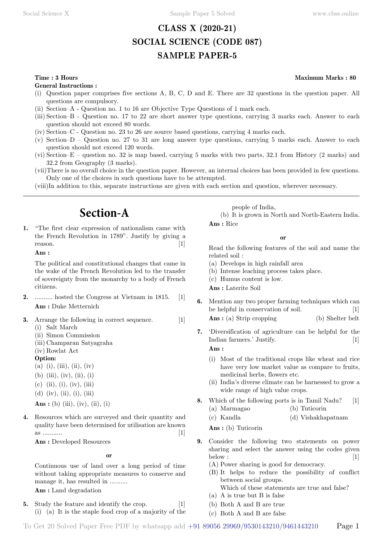### **CLASS X (2020-21) SOCIAL SCIENCE (CODE 087) SAMPLE PAPER-5**

**General Instructions :**

- (i) Question paper comprises five sections A, B, C, D and E. There are 32 questions in the question paper. All questions are compulsory.
- (ii) Section–A Question no. 1 to 16 are Objective Type Questions of 1 mark each.
- (iii) Section–B Question no. 17 to 22 are short answer type questions, carrying 3 marks each. Answer to each question should not exceed 80 words.
- (iv) Section–C Question no. 23 to 26 are source based questions, carrying 4 marks each.
- (v) Section–D Question no. 27 to 31 are long answer type questions, carrying 5 marks each. Answer to each question should not exceed 120 words.
- (vi) Section–E question no. 32 is map based, carrying 5 marks with two parts, 32.1 from History (2 marks) and 32.2 from Geography (3 marks).
- (vii)There is no overall choice in the question paper. However, an internal choices has been provided in few questions. Only one of the choices in such questions have to be attempted.
- (viii)In addition to this, separate instructions are given with each section and question, wherever necessary.

# **Section-A**

**1.** "The first clear expression of nationalism came with the French Revolution in 1789". Justify by giving a reason.  $[1]$ 

 **Ans :**

The political and constitutional changes that came in the wake of the French Revolution led to the transfer of sovereignty from the monarchy to a body of French citizens.

- **2.** .......... hosted the Congress at Vietnam in 1815. [1]  **Ans :** Duke Metternich
- **3.** Arrange the following in correct sequence. [1]
	- (i) Salt March
	- (ii) Simon Commission
	- (iii) Champaran Satyagraha
	- (iv) Rowlat Act
	- **Option:**
	- (a) (i), (iii), (ii), (iv)
	- (b) (iii), (iv), (ii), (i)
	- $(c)$  (ii), (i), (iv), (iii)
	- (d) (iv), (ii), (i), (iii)

**Ans** : (b) (iii), (iv), (ii), (i)

**4.** Resources which are surveyed and their quantity and quality have been determined for utilisation are known as ........... [1]

 **Ans :** Developed Resources

#### **o**

Continuous use of land over a long period of time without taking appropriate measures to conserve and manage it, has resulted in ..........

 **Ans :** Land degradation

**5.** Study the feature and identify the crop. [1] (i) (a) It is the staple food crop of a majority of the people of India,

(b) It is grown in North and North-Eastern India.  **Ans :** Rice

 **o**

Read the following features of the soil and name the related soil :

- (a) Develops in high rainfall area
- (b) Intense leaching process takes place.
- (c) Humus content is low.

 **Ans :** Laterite Soil

- **6.** Mention any two proper farming techniques which can be helpful in conservation of soil. [1] **Ans** : (a) Strip cropping (b) Shelter belt
- **7.** 'Diversification of agriculture can be helpful for the Indian farmers.' Justify. [1]  **Ans :**

- (i) Most of the traditional crops like wheat and rice have very low market value as compare to fruits, medicinal herbs, flowers etc.
- (ii) India's diverse climate can be harnessed to grow a wide range of high value crops.
- **8.** Which of the following ports is in Tamil Nadu? [1]
	- (a) Marmagao (b) Tuticorin
	- (c) Kandla (d) Vishakhapatnam
	- **Ans :** (b) Tuticorin
- **9.** Consider the following two statements on power sharing and select the answer using the codes given  $\text{below:}$  [1]
	- (A) Power sharing is good for democracy.
	- (B) It helps to reduce the possibility of conflict between social groups. Which of these statements are true and false?
	- (a) A is true but B is false
	- (b) Both A and B are true
	- (c) Both A and B are false

#### **Time : 3 Hours Maximum Marks : 80**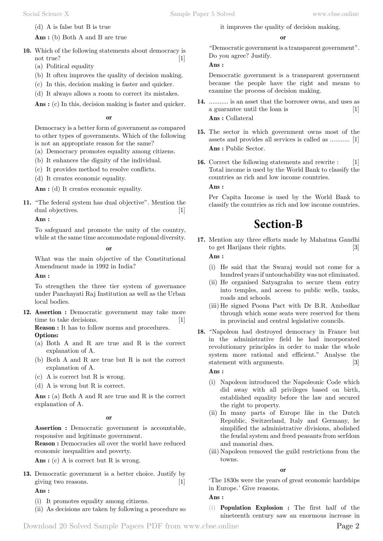(d) A is false but B is true

 **Ans :** (b) Both A and B are true

- **10.** Which of the following statements about democracy is not true? [1]
	- (a) Political equality
	- (b) It often improves the quality of decision making.
	- (c) In this, decision making is faster and quicker.
	- (d) It always allows a room to correct its mistakes.

 **Ans :** (c) In this, decision making is faster and quicker.

#### **o**

Democracy is a better form of government as compared to other types of governments. Which of the following is not an appropriate reason for the same?

- (a) Democracy promotes equality among citizens.
- (b) It enhances the dignity of the individual.
- (c) It provides method to resolve conflicts.
- (d) It creates economic equality.

 **Ans :** (d) It creates economic equality.

**11.** "The federal system has dual objective". Mention the dual objectives. [1]

 **Ans :**

To safeguard and promote the unity of the country, while at the same time accommodate regional diversity.

 **o**

What was the main objective of the Constitutional Amendment made in 1992 in India?

 **Ans :**

To strengthen the three tier system of governance under Panchayati Raj Institution as well as the Urban local bodies.

**12. Assertion :** Democratic government may take more time to take decisions. [1]

**Reason :** It has to follow norms and procedures. **Options:**

- (a) Both A and R are true and R is the correct explanation of A.
- (b) Both A and R are true but R is not the correct explanation of A.
- (c) A is correct but R is wrong.
- (d) A is wrong but R is correct.

 **Ans :** (a) Both A and R are true and R is the correct explanation of A.

 **o**

**Assertion :** Democratic government is accountable, responsive and legitimate government.

**Reason :** Democracies all over the world have reduced economic inequalities and poverty.

 **Ans :** (c) A is correct but R is wrong.

**13.** Democratic government is a better choice. Justify by giving two reasons. [1]

### **Ans :**

- (i) It promotes equality among citizens.
- (ii) As decisions are taken by following a procedure so

it improves the quality of decision making.

#### **o**

"Democratic government is a transparent government". Do you agree? Justify.

 **Ans :**

Democratic government is a transparent government because the people have the right and means to examine the process of decision making.

- **14.** ........... is an asset that the borrower owns, and uses as a guarantee until the loan is [1]  **Ans :** Collateral
- **15.** The sector in which government owns most of the assets and provides all services is called as ........... [1]  **Ans :** Public Sector.
- **16.** Correct the following statements and rewrite : [1] Total income is used by the World Bank to classify the countries as rich and low income countries.  **Ans :**

Per Capita Income is used by the World Bank to classify the countries as rich and low income countries.

# **Section-B**

- **17.** Mention any three efforts made by Mahatma Gandhi to get Harijans their rights. [3]  **Ans :**
	- (i) He said that the Swaraj would not come for a hundred years if untouchability was not eliminated.
	- (ii) He organised Satyagraha to secure them entry into temples, and access to public wells, tanks, roads and schools.
	- (iii) He signed Poona Pact with Dr B.R. Ambedkar through which some seats were reserved for them in provincial and central legislative councils.
- **18.** "Napoleon had destroyed democracy in France but in the administrative field he had incorporated revolutionary principles in order to make the whole system more rational and efficient." Analyse the statement with arguments. [3]

#### **Ans :**

- (i) Napoleon introduced the Napoleonic Code which did away with all privileges based on birth, established equality before the law and secured the right to property.
- (ii) In many parts of Europe like in the Dutch Republic, Switzerland, Italy and Germany, he simplified the administrative divisions, abolished the feudal system and freed peasants from serfdom and manorial dues.
- (iii) Napoleon removed the guild restrictions from the towns.

 **o**

'The 1830s were the years of great economic hardships in Europe.' Give reasons.

 **Ans :**

(i) **Population Explosion :** The first half of the nineteenth century saw an enormous increase in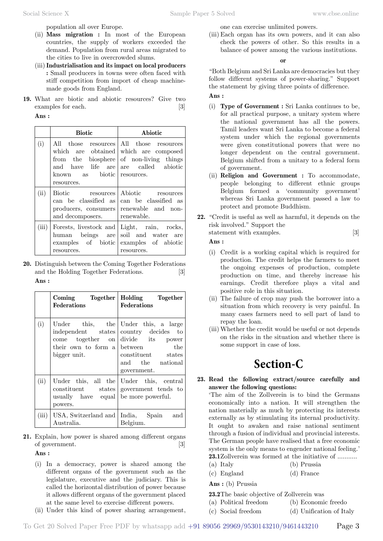population all over Europe.

- (ii) **Mass migration :** In most of the European countries, the supply of workers exceeded the demand. Population from rural areas migrated to the cities to live in overcrowded slums.
- (iii)**Industrialisation and its impact on local producers :** Small producers in towns were often faced with stiff competition from import of cheap machinemade goods from England.
- **19.** What are biotic and abiotic resources? Give two examples for each. [3]

 **Ans :**

|       | <b>Biotic</b>                                                                        | Abiotic                                                                                                                                                             |
|-------|--------------------------------------------------------------------------------------|---------------------------------------------------------------------------------------------------------------------------------------------------------------------|
| (i)   | known as biotic resources.<br>resources.                                             | All those resources All those resources<br>which are obtained which are composed<br>from the biosphere of non-living things<br>and have life are are called abiotic |
| (ii)  | Biotic resources<br>can be classified as<br>producers, consumers<br>and decomposers. | Abiotic resources<br>can be classified as<br>renewable and non-<br>renewable.                                                                                       |
| (iii) | Forests, livestock and<br>human beings are<br>resources.                             | Light, rain, rocks,<br>soil and water are<br>examples of biotic examples of abiotic<br>resources.                                                                   |

**20.** Distinguish between the Coming Together Federations and the Holding Together Federations. [3]  **Ans :**

|      | Coming Together<br><b>Federations</b>           | Holding Together<br>Federations                                                                                                                                                                                 |
|------|-------------------------------------------------|-----------------------------------------------------------------------------------------------------------------------------------------------------------------------------------------------------------------|
| (i)  | bigger unit.                                    | Under this, the Under this, a large<br>independent states country decides to<br>$come$ together on divide its power<br>their own to form a between the<br>constituent states<br>and the national<br>government. |
| (ii) | usually have equal be more powerful.<br>powers. | Under this, all the Under this, central<br>constituent states government tends to                                                                                                                               |
|      | $(iii)$ USA, Switzerland and<br>Australia.      | India, Spain and<br>Belgium.                                                                                                                                                                                    |

**21.** Explain, how power is shared among different organs of government. [3]

 **Ans :**

- (i) In a democracy, power is shared among the different organs of the government such as the legislature, executive and the judiciary. This is called the horizontal distribution of power because it allows different organs of the government placed at the same level to exercise different powers.
- (ii) Under this kind of power sharing arrangement,

one can exercise unlimited powers.

(iii) Each organ has its own powers, and it can also check the powers of other. So this results in a balance of power among the various institutions.

 **o**

"Both Belgium and Sri Lanka are democracies but they follow different systems of power-sharing." Support the statement by giving three points of difference.

#### **Ans :**

- (i) **Type of Government :** Sri Lanka continues to be, for all practical purpose, a unitary system where the national government has all the powers. Tamil leaders want Sri Lanka to become a federal system under which the regional governments were given constitutional powers that were no longer dependent on the central government. Belgium shifted from a unitary to a federal form of government.
- (ii) **Religion and Government :** To accommodate, people belonging to different ethnic groups Belgium formed a 'community government' whereas Sri Lanka government passed a law to protect and promote Buddhism.
- **22.** "Credit is useful as well as harmful, it depends on the risk involved." Support the
	- statement with examples. [3]

 **Ans :**

- (i) Credit is a working capital which is required for production. The credit helps the farmers to meet the ongoing expenses of production, complete production on time, and thereby increase his earnings. Credit therefore plays a vital and positive role in this situation.
- (ii) The failure of crop may push the borrower into a situation from which recovery is very painful. In many cases farmers need to sell part of land to repay the loan.
- (iii) Whether the credit would be useful or not depends on the risks in the situation and whether there is some support in case of loss.

# **Section-C**

#### **23. Read the following extract/source carefully and answer the following questions:**

'The aim of the Zollverein is to bind the Germans economically into a nation. It will strengthen the nation materially as much by protecting its interests externally as by stimulating its internal productivity. It ought to awaken and raise national sentiment through a fusion of individual and provincial interests. The German people have realised that a free economic system is the only means to engender national feeling.' **23.1**Zollverein was formed at the initiative of ...........

- (a) Italy (b) Prussia
- (c) England (d) France

 **Ans :** (b) Prussia

**23.2**The basic objective of Zollverein was

(a) Political freedom (b) Economic freedo

(c) Social freedom (d) Unification of Italy

To Get 20 Solved Paper Free PDF by whatsapp add +91 89056 29969/9530143210/9461443210 Page 3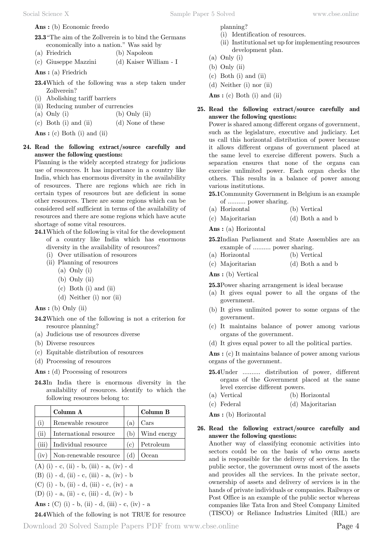#### **Ans :** (b) Economic freedo

- **23.3**"The aim of the Zollverein is to bind the Germans economically into a nation." Was said by
- (a) Friedrich (b) Napoleon
- (c) Giuseppe Mazzini (d) Kaiser William I
- **Ans :** (a) Friedrich
- **23.4**Which of the following was a step taken under Zollverein?
- (i) Abolishing tariff barriers
- (ii) Reducing number of currencies
- (a) Only (i)  $\qquad \qquad$  (b) Only (ii)
- (c) Both (i) and (ii) (d) None of these
- **Ans :** (c) Both (i) and (ii)
- **24. Read the following extract/source carefully and answer the following questions:**

Planning is the widely accepted strategy for judicious use of resources. It has importance in a country like India, which has enormous diversity in the availability of resources. There are regions which are rich in certain types of resources but are deficient in some other resources. There are some regions which can be considered self sufficient in terms of the availability of resources and there are some regions which have acute shortage of some vital resources.

- **24.1**Which of the following is vital for the development of a country like India which has enormous diversity in the availability of resources?
	- (i) Over utilisation of resources
	- (ii) Planning of resources
		- (a) Only (i)
		- (b) Only (ii)
		- (c) Both (i) and (ii)
		- (d) Neither (i) nor (ii)

 **Ans :** (b) Only (ii)

- **24.2**Which one of the following is not a criterion for resource planning?
- (a) Judicious use of resources diverse
- (b) Diverse resources
- (c) Equitable distribution of resources
- (d) Processing of resources

 **Ans :** (d) Processing of resources

**24.3**In India there is enormous diversity in the availability of resources. identify to which the following resources belong to:

|       | Column A               |     | Column B              |
|-------|------------------------|-----|-----------------------|
| (i)   | Renewable resource     | a   | $\operatorname{Cars}$ |
| (ii)  | International resource | (b  | Wind energy           |
| (iii) | Individual resource    | (c) | Petroleum             |
| (iv)  | Non-renewable resource |     | Ocean                 |

 $(A)$  (i) - c, (ii) - b, (iii) - a, (iv) - d

(B) (i) - d, (ii) - c, (iii) - a, (iv) - b

(C) (i) - b, (ii) - d, (iii) - c, (iv) - a

(D) (i) - a, (ii) - c, (iii) - d, (iv) - b

 **Ans :** (C) (i) - b, (ii) - d, (iii) - c, (iv) - a

### **24.4**Which of the following is not TRUE for resource

- (i) Identification of resources.
- (ii) Institutional set up for implementing resources development plan.
- (a) Only (i)
- (b) Only (ii)
- (c) Both (i) and (ii)
- (d) Neither (i) nor (ii)

 **Ans :** (c) Both (i) and (ii)

#### **25. Read the following extract/source carefully and answer the following questions:**

Power is shared among different organs of government, such as the legislature, executive and judiciary. Let us call this horizontal distribution of power because it allows different organs of government placed at the same level to exercise different powers. Such a separation ensures that none of the organs can exercise unlimited power. Each organ checks the others. This results in a balance of power among various institutions.

- **25.1**Community Government in Belgium is an example of .......... power sharing.
- (a) Horizontal (b) Vertical
- (c) Majoritarian (d) Both a and b

 **Ans :** (a) Horizontal

- **25.2**Indian Parliament and State Assemblies are an example of .......... power sharing.
- (a) Horizontal (b) Vertical
- (c) Majoritarian (d) Both a and b

 **Ans :** (b) Vertical

**25.3**Power sharing arrangement is ideal because

- (a) It gives equal power to all the organs of the government.
- (b) It gives unlimited power to some organs of the government.
- (c) It maintains balance of power among various organs of the government.
- (d) It gives equal power to all the political parties.

 **Ans :** (c) It maintains balance of power among various organs of the government.

- **25.4**Under .......... distribution of power, different organs of the Government placed at the same level exercise different powers.
- (a) Vertical (b) Horizontal
- (c) Federal (d) Majoritarian

 **Ans :** (b) Horizontal

**26. Read the following extract/source carefully and answer the following questions:**

Another way of classifying economic activities into sectors could be on the basis of who owns assets and is responsible for the delivery of services. In the public sector, the government owns most of the assets and provides all the services. In the private sector, ownership of assets and delivery of services is in the hands of private individuals or companies. Railways or Post Office is an example of the public sector whereas companies like Tata Iron and Steel Company Limited (TISCO) or Reliance Industries Limited (RIL) are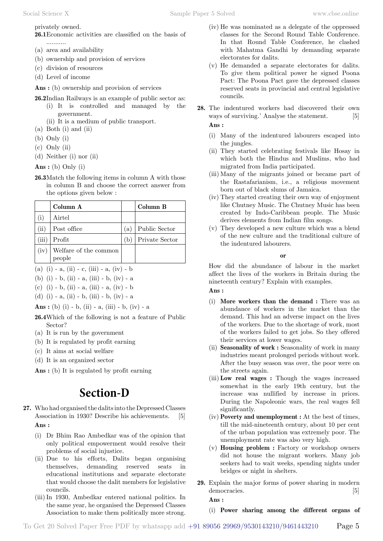privately owned.

**26.1**Economic activities are classified on the basis of ...........

- (a) area and availability
- (b) ownership and provision of services
- (c) division of resources
- (d) Level of income

 **Ans :** (b) ownership and provision of services

- **26.2**Indian Railways is an example of public sector as: (i) It is controlled and managed by the government.
	- (ii) It is a medium of public transport.
- (a) Both (i) and (ii)
- (b) Only (i)
- (c) Only (ii)
- (d) Neither (i) nor (ii)

 **Ans :** (b) Only (i)

**26.3**Match the following items in column A with those in column B and choose the correct answer from the options given below :

|       | Column A                        |     | Column B       |
|-------|---------------------------------|-----|----------------|
|       | Airtel                          |     |                |
| (ii)  | Post office                     | (a) | Public Sector  |
| (iii) | Profit                          | (b) | Private Sector |
| (iv)  | Welfare of the common<br>people |     |                |

(a) (i) - a, (ii) - c, (iii) - a, (iv) - b

- (b) (i) b, (ii) a, (iii) b, (iv) a
- (c) (i) b, (ii) a, (iii) a, (iv) b
- (d) (i) a, (ii) b, (iii) b, (iv) a

 **Ans :** (b) (i) - b, (ii) - a, (iii) - b, (iv) - a

- **26.4**Which of the following is not a feature of Public Sector?
- (a) It is run by the government
- (b) It is regulated by profit earning
- (c) It aims at social welfare
- (d) It is an organized sector

 **Ans :** (b) It is regulated by profit earning

# **Section-D**

- **27.** Who had organised the dalits into the Depressed Classes Association in 1930? Describe his achievements. [5]  **Ans :**
	- (i) Dr Bhim Rao Ambedkar was of the opinion that only political empowerment would resolve their problems of social injustice.
	- (ii) Due to his efforts, Dalits began organising themselves, demanding reserved seats in educational institutions and separate electorate that would choose the dalit members for legislative councils.
	- (iii)In 1930, Ambedkar entered national politics. In the same year, he organised the Depressed Classes Association to make them politically more strong.
- (iv) He was nominated as a delegate of the oppressed classes for the Second Round Table Conference. In that Round Table Conference, he clashed with Mahatma Gandhi by demanding separate electorates for dalits.
- (v) He demanded a separate electorates for dalits. To give them political power he signed Poona Pact: The Poona Pact gave the depressed classes reserved seats in provincial and central legislative councils.
- **28.** The indentured workers had discovered their own ways of surviving.' Analyse the statement. [5]  **Ans :**

- (i) Many of the indentured labourers escaped into the jungles.
- (ii) They started celebrating festivals like Hosay in which both the Hindus and Muslims, who had migrated from India participated.
- (iii) Many of the migrants joined or became part of the Rastafarianism, i.e., a religious movement born out of black slums of Jamaica.
- (iv) They started creating their own way of enjoyment like Chutney Music. The Chutney Music has been created by Indo-Caribbean people. The Music derives elements from Indian film songs.
- (v) They developed a new culture which was a blend of the new culture and the traditional culture of the indentured labourers.

 **o**

How did the abundance of labour in the market affect the lives of the workers in Britain during the nineteenth century? Explain with examples.

 **Ans :**

- (i) **More workers than the demand :** There was an abundance of workers in the market than the demand. This had an adverse impact on the lives of the workers. Due to the shortage of work, most of the workers failed to get jobs. So they offered their services at lower wages.
- (ii) **Seasonality of work :** Seasonality of work in many industries meant prolonged periods without work. After the busy season was over, the poor were on the streets again.
- (iii) **Low real wages :** Though the wages increased somewhat in the early 19th century, but the increase was nullified by increase in prices. During the Napoleonic wars, the real wages fell significantly.
- (iv) **Poverty and unemployment :** At the best of times, till the mid-nineteenth century, about 10 per cent of the urban population was extremely poor. The unemployment rate was also very high.
- (v) **Housing problem :** Factory or workshop owners did not house the migrant workers. Many job seekers had to wait weeks, spending nights under bridges or night in shelters.
- **29.** Explain the major forms of power sharing in modern democracies. [5]

 **Ans :**

(i) **Power sharing among the different organs of**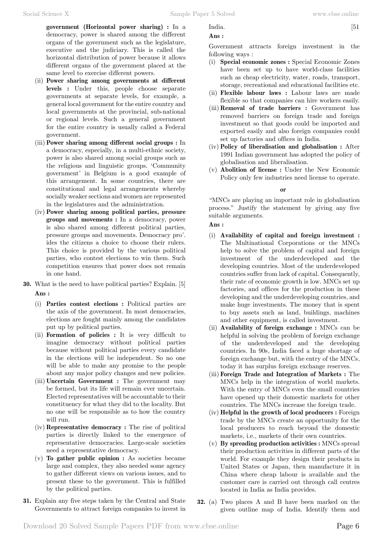**government (Horizontal power sharing) :** In a democracy, power is shared among the different organs of the government such as the legislature, executive and the judiciary. This is called the horizontal distribution of power because it allows different organs of the government placed at the same level to exercise different powers.

- (ii) **Power sharing among governments at different levels :** Under this, people choose separate governments at separate levels, for example, a general local government for the entire country and local governments at the provincial, sub-national or regional levels. Such a general government for the entire country is usually called a Federal government.
- (iii) **Power sharing among different social groups :** In a democracy, especially, in a multi-ethnic society, power is also shared among social groups such as the religious and linguistic groups. 'Community government' in Belgium is a good example of this arrangement. In some countries, there are constitutional and legal arrangements whereby socially weaker sections and women are represented in the legislatures and the administration.
- (iv) **Power sharing among political parties, pressure groups and movements :** In a democracy, power is also shared among different political parties, pressure groups and movements. Democracy pro'. ides the citizens a choice to choose their rulers. This choice is provided by the various political parties, who contest elections to win them. Such competition ensures that power does not remain in one hand.
- **30.** What is the need to have political parties? Explain. [5]  **Ans :**
	- (i) **Parties contest elections :** Political parties are the axis of the government. In most democracies, elections are fought mainly among the candidates put up by political parties.
	- (ii) **Formation of policies :** It is very difficult to imagine democracy without political parties because without political parties every candidate in the elections will be independent. So no one will be able to make any promise to the people about any major policy changes and new policies.
	- (iii) **Uncertain Government :** The government may be formed, but its life will remain ever uncertain. Elected representatives will be accountable to their constituency for what they did to the locality. But no one will be responsible as to how the country will run.
	- (iv) **Representative democracy :** The rise of political parties is directly linked to the emergence of representative democracies. Large-scale societies need a representative democracy.
	- (v) **To gather public opinion :** As societies became large and complex, they also needed some agency to gather different views on various issues, and to present these to the government. This is fulfilled by the political parties.
- **31.** Explain any five steps taken by the Central and State Governments to attract foreign companies to invest in

 **Ans :**

Government attracts foreign investment in the following ways:

- (i) **Special economic zones :** Special Economic Zones have been set up to have world-class facilities such as cheap electricity, water, roads, transport, storage, recreational and educational facilities etc.
- (ii) **Flexible labour laws :** Labour laws are made flexible so that companies can hire workers easily.
- (iii) **Removal of trade barriers :** Government has removed barriers on foreign trade and foreign investment so that goods could be imported and exported easily and also foreign companies could set up factories and offices in India.
- (iv) **Policy of liberalisation and globalisation :** After 1991 Indian government has adopted the policy of globalisation and liberalisation.
- (v) **Abolition of license :** Under the New Economic Policy only few industries need license to operate.

 **o**

"MNCs are playing an important role in globalisation process." Justify the statement by giving any five suitable arguments.

#### **Ans :**

- (i) **Availability of capital and foreign investment :** The Multinational Corporations or the MNCs help to solve the problem of capital and foreign investment of the underdeveloped and the developing countries. Most of the underdeveloped countries suffer from lack of capital. Consequently, their rate of economic growth is low. MNCs set up factories, and offices for the production in these developing and the underdeveloping countries, and make huge investments. The money that is spent to buy assets such as land, buildings, machines and other equipment, is called investment.
- (ii) **Availability of foreign exchange :** MNCs can be helpful in solving the problem of foreign exchange of the underdeveloped and the developing countries. In 90s, India faced a huge shortage of foreign exchange but, with the entry of the MNCs, today it has surplus foreign exchange reserves.
- (iii) **Foreign Trade and Integration of Markets :** The MNCs help in the integration of world markets. With the entry of MNCs even the small countries have opened up their domestic markets for other countries. The MNCs increase the foreign trade.
- (iv) **Helpful in the growth of local producers :** Foreign trade by the MNCs create an opportunity for the local producers to reach beyond the domestic markets, i.e., markets of their own countries.
- (v) **By spreading production activities :** MNCs spread their production activities in different parts of the world. For example they design their products in United States or Japan, then manufacture it in China where cheap labour is available and the customer care is carried out through call centres located in India as India provides.
- **32.** (a) Two places A and B have been marked on the given outline map of India. Identify them and